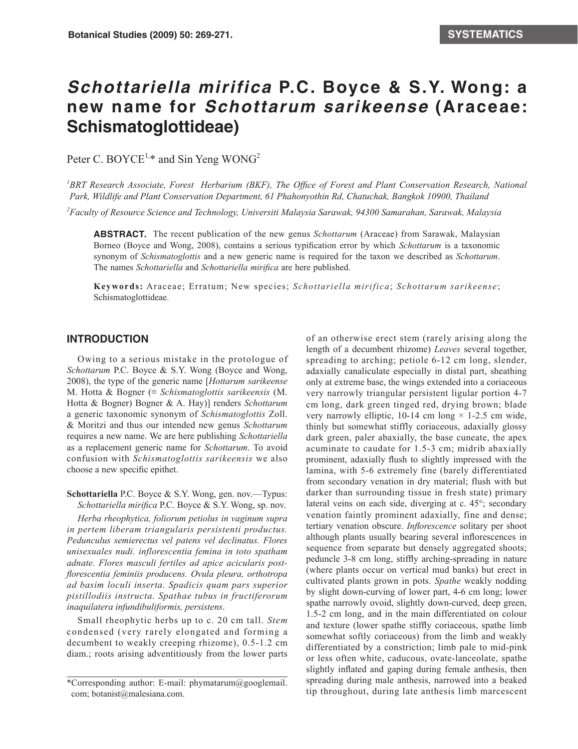## *Schottariella mirifica* **P.C. Boyce & S.Y. Wong: a new name for** *Schottarum sarikeense* **(Araceae: Schismatoglottideae)**

Peter C. BOYCE<sup>1,\*</sup> and Sin Yeng WONG<sup>2</sup>

<sup>1</sup>BRT Research Associate, Forest Herbarium (BKF), The Office of Forest and Plant Conservation Research, National *Park, Wildlife and Plant Conservation Department, 61 Phahonyothin Rd, Chatuchak, Bangkok 10900, Thailand*

*2 Faculty of Resource Science and Technology, Universiti Malaysia Sarawak, 94300 Samarahan, Sarawak, Malaysia*

**ABSTRACT.** The recent publication of the new genus *Schottarum* (Araceae) from Sarawak, Malaysian Borneo (Boyce and Wong, 2008), contains a serious typification error by which *Schottarum* is a taxonomic synonym of *Schismatoglottis* and a new generic name is required for the taxon we described as *Schottarum*. The names *Schottariella* and *Schottariella mirifica* are here published.

**Keywords:** Araceae; Erratum; New species; *Schottariella mirifica*; *Schottarum sarikeense*; Schismatoglottideae.

## **INTRODUCTION**

Owing to a serious mistake in the protologue of *Schottarum* P.C. Boyce & S.Y. Wong (Boyce and Wong, 2008), the type of the generic name [*Hottarum sarikeense*  M. Hotta & Bogner (≡ *Schismatoglottis sarikeensis* (M. Hotta & Bogner) Bogner & A. Hay)] renders *Schottarum* a generic taxonomic synonym of *Schismatoglottis* Zoll. & Moritzi and thus our intended new genus *Schottarum* requires a new name. We are here publishing *Schottariella* as a replacement generic name for *Schottarum*. To avoid confusion with *Schismatoglottis sarikeensis* we also choose a new specific epithet.

**Schottariella** P.C. Boyce & S.Y. Wong, gen. nov.—Typus: *Schottariella mirifica* P.C. Boyce & S.Y. Wong, sp. nov.

*Herba rheophytica, foliorum petiolus in vaginum supra in pertem liberam triangularis persistenti productus. Pedunculus semierectus vel patens vel declinatus. Flores unisexuales nudi. inflorescentia femina in toto spatham adnate. Flores masculi fertiles ad apice acicularis postflorescentia feminiis producens. Ovula pleura, orthotropa ad basim loculi inserta. Spadicis quam pars superior pistillodiis instructa. Spathae tubus in fructiferorum inaquilatera infundibuliformis, persistens*.

Small rheophytic herbs up to c. 20 cm tall. *Stem* condensed (very rarely elongated and forming a decumbent to weakly creeping rhizome), 0.5-1.2 cm diam.; roots arising adventitiously from the lower parts of an otherwise erect stem (rarely arising along the length of a decumbent rhizome) *Leaves* several together, spreading to arching; petiole 6-12 cm long, slender, adaxially canaliculate especially in distal part, sheathing only at extreme base, the wings extended into a coriaceous very narrowly triangular persistent ligular portion 4-7 cm long, dark green tinged red, drying brown; blade very narrowly elliptic, 10-14 cm long  $\times$  1-2.5 cm wide, thinly but somewhat stiffly coriaceous, adaxially glossy dark green, paler abaxially, the base cuneate, the apex acuminate to caudate for 1.5-3 cm; midrib abaxially prominent, adaxially flush to slightly impressed with the lamina, with 5-6 extremely fine (barely differentiated from secondary venation in dry material; flush with but darker than surrounding tissue in fresh state) primary lateral veins on each side, diverging at c. 45°; secondary venation faintly prominent adaxially, fine and dense; tertiary venation obscure. *Inflorescence* solitary per shoot although plants usually bearing several inflorescences in sequence from separate but densely aggregated shoots; peduncle 3-8 cm long, stiffly arching-spreading in nature (where plants occur on vertical mud banks) but erect in cultivated plants grown in pots. *Spathe* weakly nodding by slight down-curving of lower part, 4-6 cm long; lower spathe narrowly ovoid, slightly down-curved, deep green, 1.5-2 cm long, and in the main differentiated on colour and texture (lower spathe stiffly coriaceous, spathe limb somewhat softly coriaceous) from the limb and weakly differentiated by a constriction; limb pale to mid-pink or less often white, caducous, ovate-lanceolate, spathe slightly inflated and gaping during female anthesis, then spreading during male anthesis, narrowed into a beaked tip throughout, during late anthesis limb marcescent

<sup>\*</sup>Corresponding author: E-mail: phymatarum@googlemail. com; botanist@malesiana.com.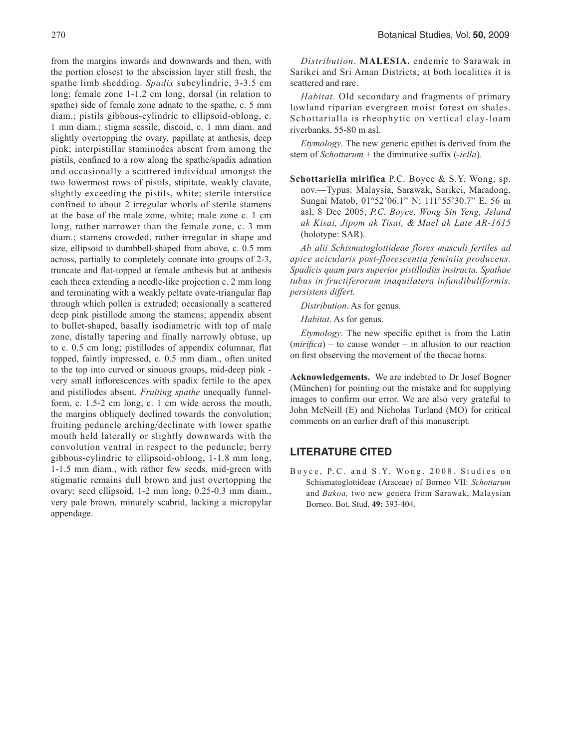from the margins inwards and downwards and then, with the portion closest to the abscission layer still fresh, the spathe limb shedding. *Spadix* subcylindric, 3-3.5 cm long; female zone 1-1.2 cm long, dorsal (in relation to spathe) side of female zone adnate to the spathe, c. 5 mm diam.; pistils gibbous-cylindric to ellipsoid-oblong, c. 1 mm diam.; stigma sessile, discoid, c. 1 mm diam. and slightly overtopping the ovary, papillate at anthesis, deep pink; interpistillar staminodes absent from among the pistils, confined to a row along the spathe/spadix adnation and occasionally a scattered individual amongst the two lowermost rows of pistils, stipitate, weakly clavate, slightly exceeding the pistils, white; sterile interstice confined to about 2 irregular whorls of sterile stamens at the base of the male zone, white; male zone c. 1 cm long, rather narrower than the female zone, c. 3 mm diam.; stamens crowded, rather irregular in shape and size, ellipsoid to dumbbell-shaped from above, c. 0.5 mm across, partially to completely connate into groups of 2-3, truncate and flat-topped at female anthesis but at anthesis each theca extending a needle-like projection c. 2 mm long and terminating with a weakly peltate ovate-triangular flap through which pollen is extruded; occasionally a scattered deep pink pistillode among the stamens; appendix absent to bullet-shaped, basally isodiametric with top of male zone, distally tapering and finally narrowly obtuse, up to c. 0.5 cm long; pistillodes of appendix columnar, flat topped, faintly impressed, c. 0.5 mm diam., often united to the top into curved or sinuous groups, mid-deep pink very small inflorescences with spadix fertile to the apex and pistillodes absent. *Fruiting spathe* unequally funnelform, c. 1.5-2 cm long, c. 1 cm wide across the mouth, the margins obliquely declined towards the convolution; fruiting peduncle arching/declinate with lower spathe mouth held laterally or slightly downwards with the convolution ventral in respect to the peduncle; berry gibbous-cylindric to ellipsoid-oblong, 1-1.8 mm long, 1-1.5 mm diam., with rather few seeds, mid-green with stigmatic remains dull brown and just overtopping the ovary; seed ellipsoid, 1-2 mm long, 0.25-0.3 mm diam., very pale brown, minutely scabrid, lacking a micropylar appendage.

*Distribution*. **MALESIA.** endemic to Sarawak in Sarikei and Sri Aman Districts; at both localities it is scattered and rare.

*Habitat*. Old secondary and fragments of primary lowland riparian evergreen moist forest on shales. Schottarialla is rheophytic on vertical clay-loam riverbanks. 55-80 m asl.

*Etymology*. The new generic epithet is derived from the stem of *Schottarum* + the diminutive suffix (-*iella*).

**Schottariella mirifica** P.C. Boyce & S.Y. Wong, sp. nov.—Typus: Malaysia, Sarawak, Sarikei, Maradong, Sungai Matob, 01°52'06.1" N; 111°55'30.7" E, 56 m asl, 8 Dec 2005, *P.C. Boyce, Wong Sin Yeng, Jeland ak Kisai, Jipom ak Tisai, & Mael ak Late AR-1615*  (holotype: SAR).

*Ab alii Schismatoglottideae flores masculi fertiles ad apice acicularis post-florescentia feminiis producens. Spadicis quam pars superior pistillodiis instructa. Spathae tubus in fructiferorum inaquilatera infundibuliformis, persistens differt.*

*Distribution*. As for genus.

*Habitat*. As for genus.

*Etymology*. The new specific epithet is from the Latin (*mirifica*) – to cause wonder – in allusion to our reaction on first observing the movement of the thecae horns.

**Acknowledgements.** We are indebted to Dr Josef Bogner (München) for pointing out the mistake and for supplying images to confirm our error. We are also very grateful to John McNeill (E) and Nicholas Turland (MO) for critical comments on an earlier draft of this manuscript.

## **LITERATURE CITED**

Boyce, P.C. and S.Y. Wong. 2008. Studies on Schismatoglottideae (Araceae) of Borneo VII: *Schottarum*  and *Bakoa,* two new genera from Sarawak, Malaysian Borneo. Bot. Stud. **49:** 393-404.